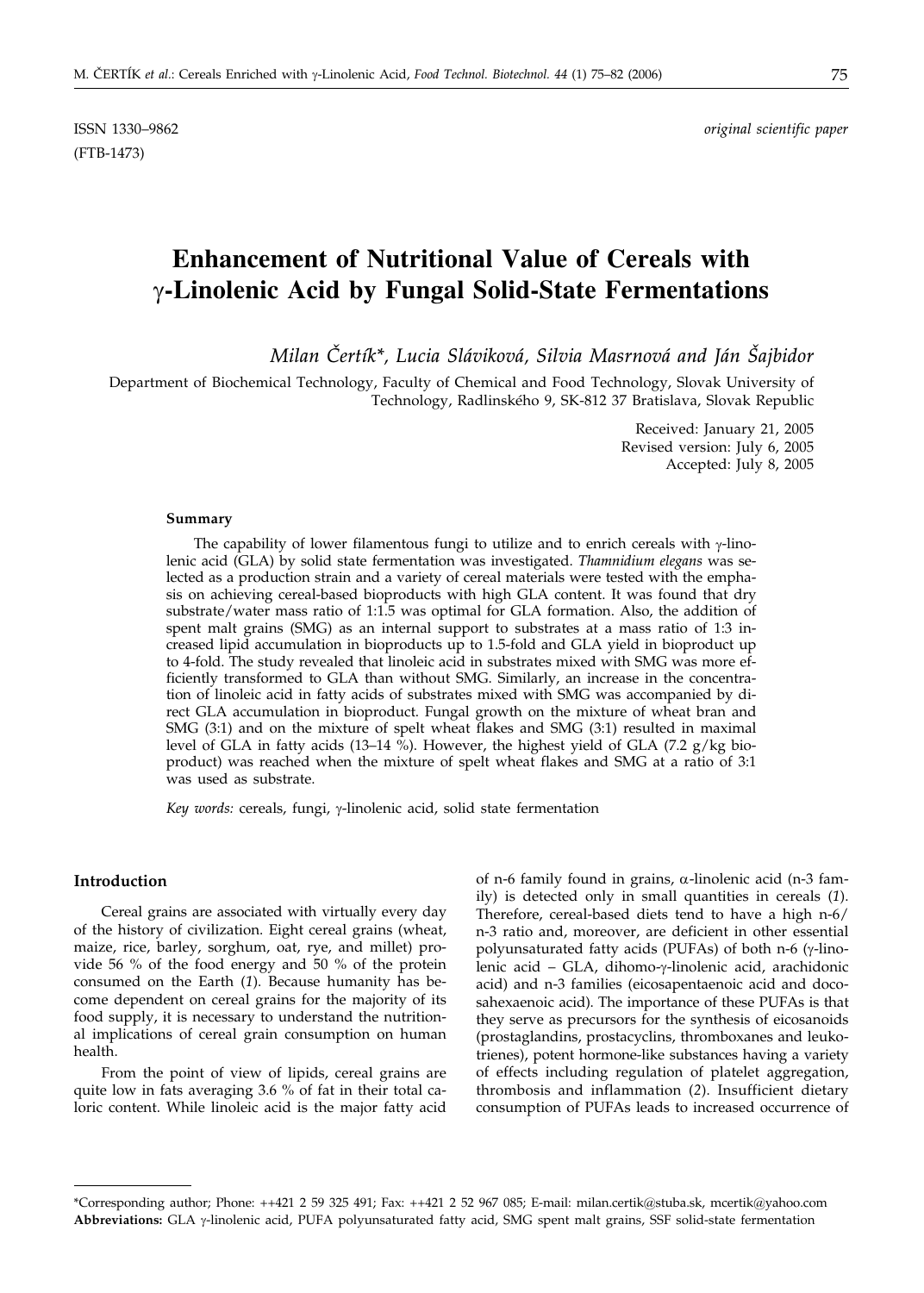(FTB-1473)

ISSN 1330–9862 *original scientific paper*

# **Enhancement of Nutritional Value of Cereals with -Linolenic Acid by Fungal Solid-State Fermentations**

*Milan Čertík\*, Lucia Sláviková, Silvia Masrnová and Ján Šajbidor* 

Department of Biochemical Technology, Faculty of Chemical and Food Technology, Slovak University of Technology, Radlinského 9, SK-812 37 Bratislava, Slovak Republic

> Received: January 21, 2005 Revised version: July 6, 2005 Accepted: July 8, 2005

### **Summary**

The capability of lower filamentous fungi to utilize and to enrich cereals with  $\gamma$ -linolenic acid (GLA) by solid state fermentation was investigated. *Thamnidium elegans* was selected as a production strain and a variety of cereal materials were tested with the emphasis on achieving cereal-based bioproducts with high GLA content. It was found that dry substrate/water mass ratio of 1:1.5 was optimal for GLA formation. Also, the addition of spent malt grains (SMG) as an internal support to substrates at a mass ratio of 1:3 increased lipid accumulation in bioproducts up to 1.5-fold and GLA yield in bioproduct up to 4-fold. The study revealed that linoleic acid in substrates mixed with SMG was more efficiently transformed to GLA than without SMG. Similarly, an increase in the concentration of linoleic acid in fatty acids of substrates mixed with SMG was accompanied by direct GLA accumulation in bioproduct. Fungal growth on the mixture of wheat bran and SMG (3:1) and on the mixture of spelt wheat flakes and SMG (3:1) resulted in maximal level of GLA in fatty acids (13–14 %). However, the highest yield of GLA (7.2  $g/kg$  bioproduct) was reached when the mixture of spelt wheat flakes and SMG at a ratio of 3:1 was used as substrate.

Key words: cereals, fungi, y-linolenic acid, solid state fermentation

## **Introduction**

Cereal grains are associated with virtually every day of the history of civilization. Eight cereal grains (wheat, maize, rice, barley, sorghum, oat, rye, and millet) provide 56 % of the food energy and 50 % of the protein consumed on the Earth (*1*). Because humanity has become dependent on cereal grains for the majority of its food supply, it is necessary to understand the nutritional implications of cereal grain consumption on human health.

From the point of view of lipids, cereal grains are quite low in fats averaging 3.6 % of fat in their total caloric content. While linoleic acid is the major fatty acid

of n-6 family found in grains,  $\alpha$ -linolenic acid (n-3 family) is detected only in small quantities in cereals (*1*). Therefore, cereal-based diets tend to have a high n-6/ n-3 ratio and, moreover, are deficient in other essential polyunsaturated fatty acids (PUFAs) of both  $n-6$  ( $\gamma$ -linolenic acid - GLA, dihomo-y-linolenic acid, arachidonic acid) and n-3 families (eicosapentaenoic acid and docosahexaenoic acid). The importance of these PUFAs is that they serve as precursors for the synthesis of eicosanoids (prostaglandins, prostacyclins, thromboxanes and leukotrienes), potent hormone-like substances having a variety of effects including regulation of platelet aggregation, thrombosis and inflammation (*2*). Insufficient dietary consumption of PUFAs leads to increased occurrence of

<sup>\*</sup>Corresponding author; Phone: ++421 2 59 325 491; Fax: ++421 2 52 967 085; E-mail: milan.certik@stuba.sk, mcertik@yahoo.com Abbreviations: GLA  $\gamma$ -linolenic acid, PUFA polyunsaturated fatty acid, SMG spent malt grains, SSF solid-state fermentation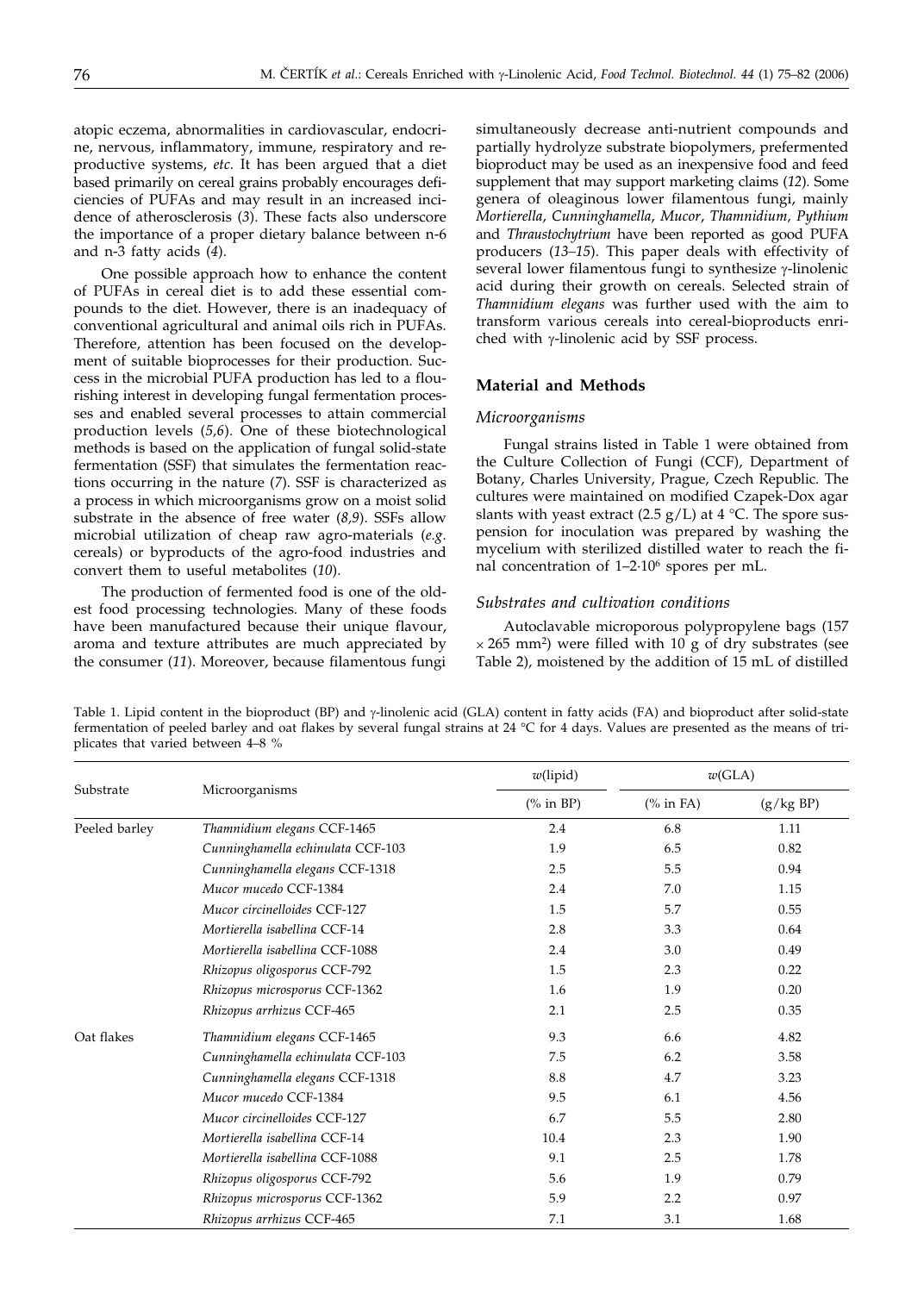atopic eczema, abnormalities in cardiovascular, endocrine, nervous, inflammatory, immune, respiratory and reproductive systems, *etc*. It has been argued that a diet based primarily on cereal grains probably encourages deficiencies of PUFAs and may result in an increased incidence of atherosclerosis (*3*). These facts also underscore the importance of a proper dietary balance between n-6 and n-3 fatty acids (*4*).

One possible approach how to enhance the content of PUFAs in cereal diet is to add these essential compounds to the diet. However, there is an inadequacy of conventional agricultural and animal oils rich in PUFAs. Therefore, attention has been focused on the development of suitable bioprocesses for their production. Success in the microbial PUFA production has led to a flourishing interest in developing fungal fermentation processes and enabled several processes to attain commercial production levels (*5,6*). One of these biotechnological methods is based on the application of fungal solid-state fermentation (SSF) that simulates the fermentation reactions occurring in the nature (*7*). SSF is characterized as a process in which microorganisms grow on a moist solid substrate in the absence of free water (*8,9*). SSFs allow microbial utilization of cheap raw agro-materials (*e.g.* cereals) or byproducts of the agro-food industries and convert them to useful metabolites (*10*).

The production of fermented food is one of the oldest food processing technologies. Many of these foods have been manufactured because their unique flavour, aroma and texture attributes are much appreciated by the consumer (*11*). Moreover, because filamentous fungi simultaneously decrease anti-nutrient compounds and partially hydrolyze substrate biopolymers, prefermented bioproduct may be used as an inexpensive food and feed supplement that may support marketing claims (*12*). Some genera of oleaginous lower filamentous fungi, mainly *Mortierella*, *Cunninghamella*, *Mucor*, *Thamnidium, Pythium* and *Thraustochytrium* have been reported as good PUFA producers (*13–15*). This paper deals with effectivity of several lower filamentous fungi to synthesize  $\gamma$ -linolenic acid during their growth on cereals. Selected strain of *Thamnidium elegans* was further used with the aim to transform various cereals into cereal-bioproducts enriched with  $\gamma$ -linolenic acid by SSF process.

## **Material and Methods**

#### *Microorganisms*

Fungal strains listed in Table 1 were obtained from the Culture Collection of Fungi (CCF), Department of Botany, Charles University, Prague, Czech Republic. The cultures were maintained on modified Czapek-Dox agar slants with yeast extract (2.5  $g/L$ ) at 4 °C. The spore suspension for inoculation was prepared by washing the mycelium with sterilized distilled water to reach the final concentration of 1–2·106 spores per mL.

## *Substrates and cultivation conditions*

Autoclavable microporous polypropylene bags (157  $\times$  265 mm<sup>2</sup>) were filled with 10 g of dry substrates (see Table 2), moistened by the addition of 15 mL of distilled

Table 1. Lipid content in the bioproduct (BP) and  $\gamma$ -linolenic acid (GLA) content in fatty acids (FA) and bioproduct after solid-state fermentation of peeled barley and oat flakes by several fungal strains at 24 °C for 4 days. Values are presented as the means of triplicates that varied between 4–8 %

| Substrate     |                                   | $w$ (lipid) | w(GLA)     |           |  |
|---------------|-----------------------------------|-------------|------------|-----------|--|
|               | Microorganisms                    | $%$ in BP)  | $%$ in FA) | (g/kg BP) |  |
| Peeled barley | Thamnidium elegans CCF-1465       | 2.4         | 6.8        | 1.11      |  |
|               | Cunninghamella echinulata CCF-103 | 1.9         | 6.5        | 0.82      |  |
|               | Cunninghamella elegans CCF-1318   | 2.5         | 5.5        | 0.94      |  |
|               | Mucor mucedo CCF-1384             | 2.4         | 7.0        | 1.15      |  |
|               | Mucor circinelloides CCF-127      | 1.5         | 5.7        | 0.55      |  |
|               | Mortierella isabellina CCF-14     | 2.8         | 3.3        | 0.64      |  |
|               | Mortierella isabellina CCF-1088   | 2.4         | 3.0        | 0.49      |  |
|               | Rhizopus oligosporus CCF-792      | 1.5         | 2.3        | 0.22      |  |
|               | Rhizopus microsporus CCF-1362     | 1.6         | 1.9        | 0.20      |  |
|               | Rhizopus arrhizus CCF-465         | 2.1         | 2.5        | 0.35      |  |
| Oat flakes    | Thamnidium elegans CCF-1465       | 9.3         | 6.6        | 4.82      |  |
|               | Cunninghamella echinulata CCF-103 | 7.5         | 6.2        | 3.58      |  |
|               | Cunninghamella elegans CCF-1318   | 8.8         | 4.7        | 3.23      |  |
|               | Mucor mucedo CCF-1384             | 9.5         | 6.1        | 4.56      |  |
|               | Mucor circinelloides CCF-127      | 6.7         | 5.5        | 2.80      |  |
|               | Mortierella isabellina CCF-14     | 10.4        | 2.3        | 1.90      |  |
|               | Mortierella isabellina CCF-1088   | 9.1         | 2.5        | 1.78      |  |
|               | Rhizopus oligosporus CCF-792      | 5.6         | 1.9        | 0.79      |  |
|               | Rhizopus microsporus CCF-1362     | 5.9         | 2.2        | 0.97      |  |
|               | Rhizopus arrhizus CCF-465         | 7.1         | 3.1        | 1.68      |  |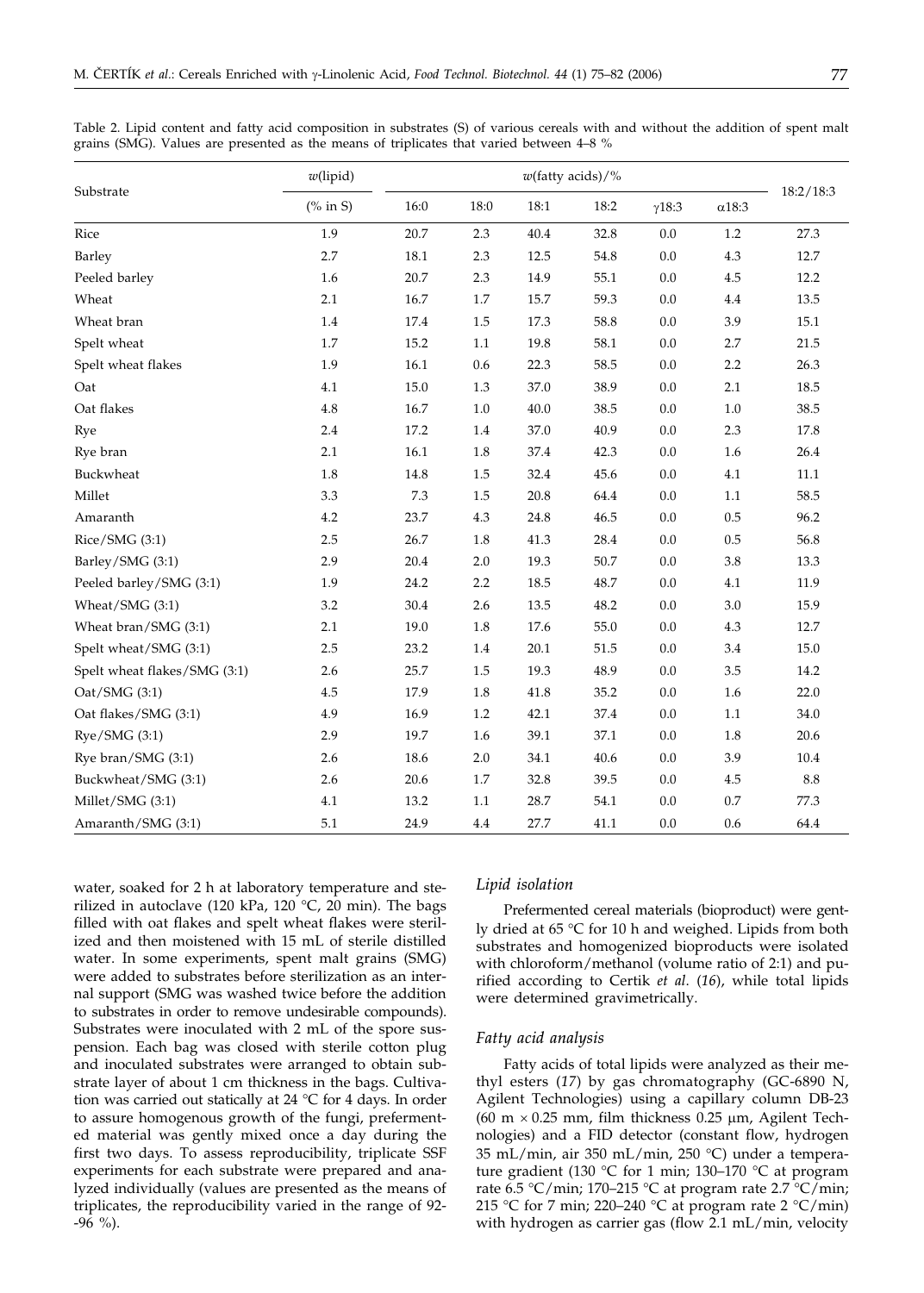|                              | $w$ (lipid) |      |         |      | $w$ (fatty acids)/% |               |              |            |
|------------------------------|-------------|------|---------|------|---------------------|---------------|--------------|------------|
| Substrate                    | $%$ in S)   | 16:0 | 18:0    | 18:1 | 18:2                | $\gamma$ 18:3 | $\alpha18:3$ | 18:2/18:3  |
| Rice                         | 1.9         | 20.7 | 2.3     | 40.4 | 32.8                | $0.0\,$       | $1.2\,$      | 27.3       |
| Barley                       | 2.7         | 18.1 | 2.3     | 12.5 | 54.8                | 0.0           | 4.3          | 12.7       |
| Peeled barley                | 1.6         | 20.7 | 2.3     | 14.9 | 55.1                | 0.0           | 4.5          | 12.2       |
| Wheat                        | 2.1         | 16.7 | $1.7\,$ | 15.7 | 59.3                | $0.0\,$       | $4.4\,$      | 13.5       |
| Wheat bran                   | 1.4         | 17.4 | 1.5     | 17.3 | 58.8                | 0.0           | 3.9          | 15.1       |
| Spelt wheat                  | 1.7         | 15.2 | 1.1     | 19.8 | 58.1                | 0.0           | 2.7          | 21.5       |
| Spelt wheat flakes           | 1.9         | 16.1 | 0.6     | 22.3 | 58.5                | 0.0           | 2.2          | 26.3       |
| Oat                          | 4.1         | 15.0 | 1.3     | 37.0 | 38.9                | 0.0           | 2.1          | 18.5       |
| Oat flakes                   | 4.8         | 16.7 | 1.0     | 40.0 | 38.5                | 0.0           | 1.0          | 38.5       |
| Rye                          | 2.4         | 17.2 | 1.4     | 37.0 | 40.9                | 0.0           | 2.3          | 17.8       |
| Rye bran                     | 2.1         | 16.1 | 1.8     | 37.4 | 42.3                | $0.0\,$       | 1.6          | 26.4       |
| Buckwheat                    | 1.8         | 14.8 | 1.5     | 32.4 | 45.6                | 0.0           | 4.1          | 11.1       |
| Millet                       | 3.3         | 7.3  | 1.5     | 20.8 | 64.4                | 0.0           | 1.1          | 58.5       |
| Amaranth                     | 4.2         | 23.7 | 4.3     | 24.8 | 46.5                | 0.0           | $0.5\,$      | 96.2       |
| Rice/SMG (3:1)               | 2.5         | 26.7 | $1.8\,$ | 41.3 | 28.4                | $0.0\,$       | $0.5\,$      | 56.8       |
| Barley/SMG (3:1)             | 2.9         | 20.4 | 2.0     | 19.3 | 50.7                | 0.0           | 3.8          | 13.3       |
| Peeled barley/SMG (3:1)      | 1.9         | 24.2 | 2.2     | 18.5 | 48.7                | 0.0           | 4.1          | 11.9       |
| Wheat/SMG (3:1)              | 3.2         | 30.4 | 2.6     | 13.5 | 48.2                | 0.0           | 3.0          | 15.9       |
| Wheat bran/SMG (3:1)         | 2.1         | 19.0 | $1.8\,$ | 17.6 | 55.0                | 0.0           | 4.3          | 12.7       |
| Spelt wheat/SMG (3:1)        | 2.5         | 23.2 | 1.4     | 20.1 | 51.5                | 0.0           | 3.4          | 15.0       |
| Spelt wheat flakes/SMG (3:1) | 2.6         | 25.7 | 1.5     | 19.3 | 48.9                | 0.0           | 3.5          | 14.2       |
| Oat/SMG (3:1)                | 4.5         | 17.9 | $1.8\,$ | 41.8 | 35.2                | 0.0           | 1.6          | 22.0       |
| Oat flakes/SMG (3:1)         | 4.9         | 16.9 | 1.2     | 42.1 | 37.4                | 0.0           | 1.1          | 34.0       |
| Rye/SMG (3:1)                | 2.9         | 19.7 | 1.6     | 39.1 | 37.1                | 0.0           | 1.8          | 20.6       |
| Rye bran/SMG (3:1)           | 2.6         | 18.6 | $2.0\,$ | 34.1 | 40.6                | $0.0\,$       | 3.9          | 10.4       |
| Buckwheat/SMG (3:1)          | 2.6         | 20.6 | 1.7     | 32.8 | 39.5                | 0.0           | 4.5          | $\ \, 8.8$ |
| Millet/SMG (3:1)             | 4.1         | 13.2 | 1.1     | 28.7 | 54.1                | 0.0           | $0.7\,$      | 77.3       |
| Amaranth/SMG (3:1)           | 5.1         | 24.9 | 4.4     | 27.7 | 41.1                | 0.0           | 0.6          | 64.4       |

Table 2. Lipid content and fatty acid composition in substrates (S) of various cereals with and without the addition of spent malt grains (SMG). Values are presented as the means of triplicates that varied between 4–8 %

water, soaked for 2 h at laboratory temperature and sterilized in autoclave (120 kPa, 120 °C, 20 min). The bags filled with oat flakes and spelt wheat flakes were sterilized and then moistened with 15 mL of sterile distilled water. In some experiments, spent malt grains (SMG) were added to substrates before sterilization as an internal support (SMG was washed twice before the addition to substrates in order to remove undesirable compounds). Substrates were inoculated with 2 mL of the spore suspension. Each bag was closed with sterile cotton plug and inoculated substrates were arranged to obtain substrate layer of about 1 cm thickness in the bags. Cultivation was carried out statically at 24 °C for 4 days. In order to assure homogenous growth of the fungi, prefermented material was gently mixed once a day during the first two days. To assess reproducibility, triplicate SSF experiments for each substrate were prepared and analyzed individually (values are presented as the means of triplicates, the reproducibility varied in the range of 92-  $-96$  %).

#### *Lipid isolation*

Prefermented cereal materials (bioproduct) were gently dried at  $65 \text{ °C}$  for 10 h and weighed. Lipids from both substrates and homogenized bioproducts were isolated with chloroform/methanol (volume ratio of 2:1) and purified according to Certik *et al*. (*16*), while total lipids were determined gravimetrically.

#### *Fatty acid analysis*

Fatty acids of total lipids were analyzed as their methyl esters (*17*) by gas chromatography (GC-6890 N, Agilent Technologies) using a capillary column DB-23 (60 m  $\times$  0.25 mm, film thickness 0.25 µm, Agilent Technologies) and a FID detector (constant flow, hydrogen 35 mL/min, air 350 mL/min, 250 C) under a temperature gradient (130 °C for 1 min; 130–170 °C at program rate 6.5 °C/min; 170–215 °C at program rate 2.7 °C/min; 215 °C for 7 min; 220–240 °C at program rate 2 °C/min) with hydrogen as carrier gas (flow 2.1 mL/min, velocity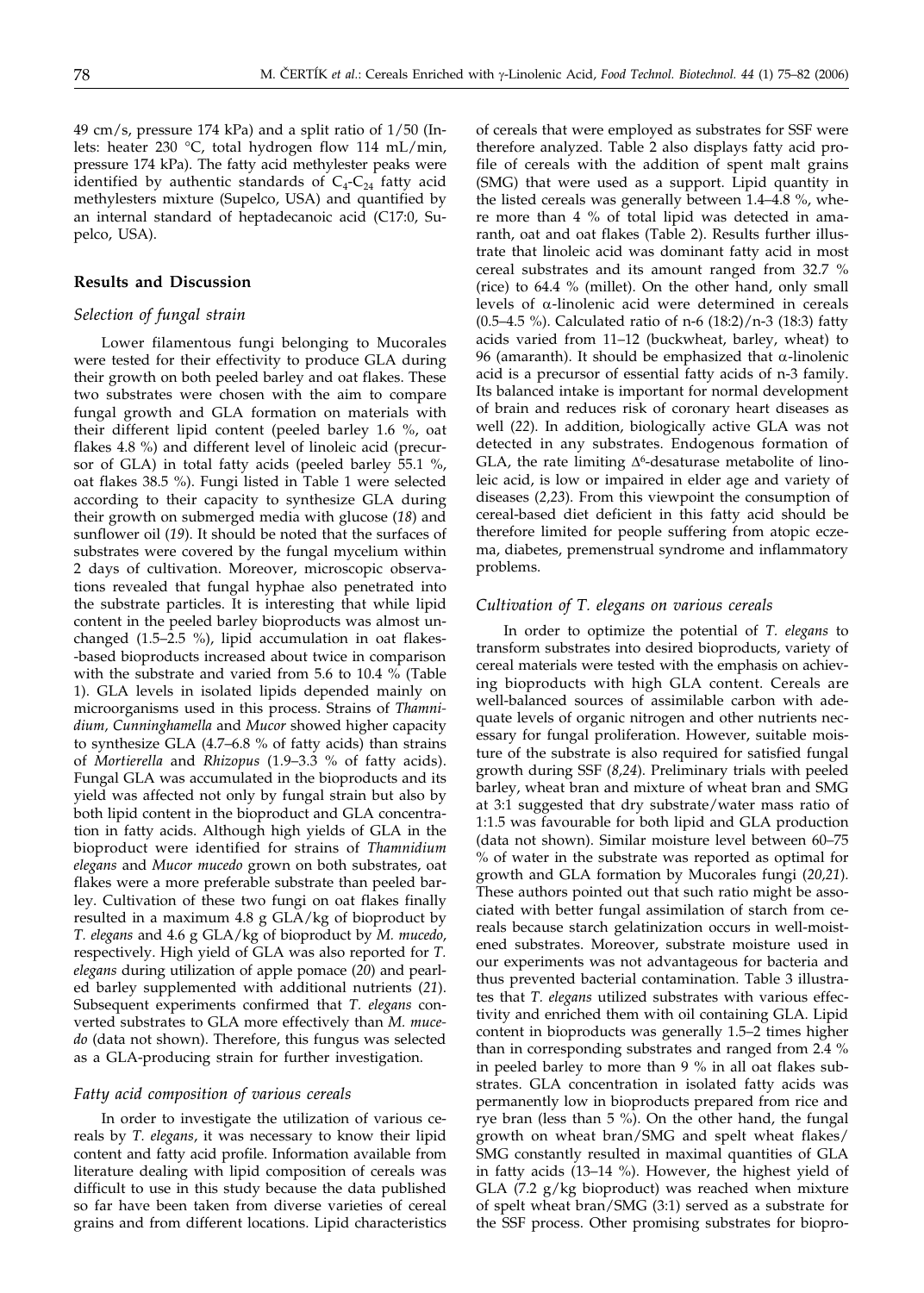49 cm/s, pressure 174 kPa) and a split ratio of 1/50 (Inlets: heater 230 °C, total hydrogen flow 114 mL/min, pressure 174 kPa). The fatty acid methylester peaks were identified by authentic standards of  $C_4-C_{24}$  fatty acid methylesters mixture (Supelco, USA) and quantified by an internal standard of heptadecanoic acid (C17:0, Supelco, USA).

## **Results and Discussion**

## *Selection of fungal strain*

Lower filamentous fungi belonging to Mucorales were tested for their effectivity to produce GLA during their growth on both peeled barley and oat flakes. These two substrates were chosen with the aim to compare fungal growth and GLA formation on materials with their different lipid content (peeled barley 1.6 %, oat flakes 4.8 %) and different level of linoleic acid (precursor of GLA) in total fatty acids (peeled barley 55.1 %, oat flakes 38.5 %). Fungi listed in Table 1 were selected according to their capacity to synthesize GLA during their growth on submerged media with glucose (*18*) and sunflower oil (*19*). It should be noted that the surfaces of substrates were covered by the fungal mycelium within 2 days of cultivation. Moreover, microscopic observations revealed that fungal hyphae also penetrated into the substrate particles. It is interesting that while lipid content in the peeled barley bioproducts was almost unchanged (1.5–2.5 %), lipid accumulation in oat flakes- -based bioproducts increased about twice in comparison with the substrate and varied from 5.6 to 10.4 % (Table 1). GLA levels in isolated lipids depended mainly on microorganisms used in this process. Strains of *Thamnidium, Cunninghamella* and *Mucor* showed higher capacity to synthesize GLA (4.7–6.8 % of fatty acids) than strains of *Mortierella* and *Rhizopus* (1.9–3.3 % of fatty acids). Fungal GLA was accumulated in the bioproducts and its yield was affected not only by fungal strain but also by both lipid content in the bioproduct and GLA concentration in fatty acids. Although high yields of GLA in the bioproduct were identified for strains of *Thamnidium elegans* and *Mucor mucedo* grown on both substrates, oat flakes were a more preferable substrate than peeled barley. Cultivation of these two fungi on oat flakes finally resulted in a maximum 4.8 g GLA/kg of bioproduct by *T. elegans* and 4.6 g GLA/kg of bioproduct by *M. mucedo*, respectively. High yield of GLA was also reported for *T. elegans* during utilization of apple pomace (*20*) and pearled barley supplemented with additional nutrients (*21*). Subsequent experiments confirmed that *T. elegans* converted substrates to GLA more effectively than *M. mucedo* (data not shown). Therefore, this fungus was selected as a GLA-producing strain for further investigation.

### *Fatty acid composition of various cereals*

In order to investigate the utilization of various cereals by *T. elegans*, it was necessary to know their lipid content and fatty acid profile. Information available from literature dealing with lipid composition of cereals was difficult to use in this study because the data published so far have been taken from diverse varieties of cereal grains and from different locations. Lipid characteristics

of cereals that were employed as substrates for SSF were therefore analyzed. Table 2 also displays fatty acid profile of cereals with the addition of spent malt grains (SMG) that were used as a support. Lipid quantity in the listed cereals was generally between 1.4–4.8 %, where more than 4 % of total lipid was detected in amaranth, oat and oat flakes (Table 2). Results further illustrate that linoleic acid was dominant fatty acid in most cereal substrates and its amount ranged from 32.7 % (rice) to 64.4 % (millet). On the other hand, only small levels of  $\alpha$ -linolenic acid were determined in cereals (0.5–4.5 %). Calculated ratio of n-6 (18:2)/n-3 (18:3) fatty acids varied from 11–12 (buckwheat, barley, wheat) to 96 (amaranth). It should be emphasized that  $\alpha$ -linolenic acid is a precursor of essential fatty acids of n-3 family. Its balanced intake is important for normal development of brain and reduces risk of coronary heart diseases as well (*22*). In addition, biologically active GLA was not detected in any substrates. Endogenous formation of GLA, the rate limiting  $\Delta^6$ -desaturase metabolite of linoleic acid, is low or impaired in elder age and variety of diseases (*2,23*). From this viewpoint the consumption of cereal-based diet deficient in this fatty acid should be therefore limited for people suffering from atopic eczema, diabetes, premenstrual syndrome and inflammatory problems.

## *Cultivation of T. elegans on various cereals*

In order to optimize the potential of *T. elegans* to transform substrates into desired bioproducts, variety of cereal materials were tested with the emphasis on achieving bioproducts with high GLA content. Cereals are well-balanced sources of assimilable carbon with adequate levels of organic nitrogen and other nutrients necessary for fungal proliferation. However, suitable moisture of the substrate is also required for satisfied fungal growth during SSF (*8,24*). Preliminary trials with peeled barley, wheat bran and mixture of wheat bran and SMG at 3:1 suggested that dry substrate/water mass ratio of 1:1.5 was favourable for both lipid and GLA production (data not shown). Similar moisture level between 60–75 % of water in the substrate was reported as optimal for growth and GLA formation by Mucorales fungi (*20,21*). These authors pointed out that such ratio might be associated with better fungal assimilation of starch from cereals because starch gelatinization occurs in well-moistened substrates. Moreover, substrate moisture used in our experiments was not advantageous for bacteria and thus prevented bacterial contamination. Table 3 illustrates that *T. elegans* utilized substrates with various effectivity and enriched them with oil containing GLA. Lipid content in bioproducts was generally 1.5–2 times higher than in corresponding substrates and ranged from 2.4 % in peeled barley to more than 9 % in all oat flakes substrates. GLA concentration in isolated fatty acids was permanently low in bioproducts prepared from rice and rye bran (less than 5 %). On the other hand, the fungal growth on wheat bran/SMG and spelt wheat flakes/ SMG constantly resulted in maximal quantities of GLA in fatty acids (13–14 %). However, the highest yield of GLA (7.2 g/kg bioproduct) was reached when mixture of spelt wheat bran/SMG (3:1) served as a substrate for the SSF process. Other promising substrates for biopro-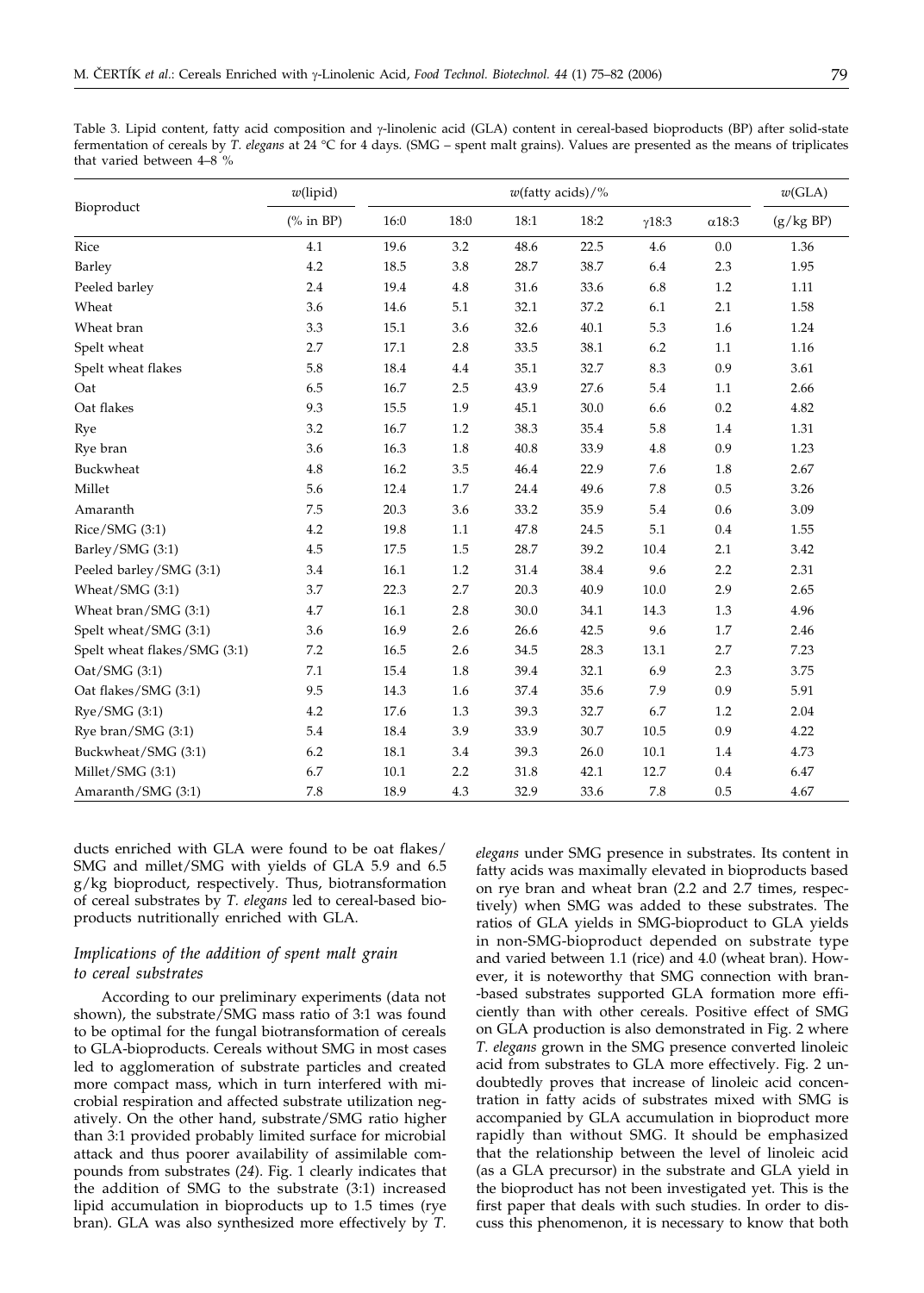Table 3. Lipid content, fatty acid composition and y-linolenic acid (GLA) content in cereal-based bioproducts (BP) after solid-state fermentation of cereals by *T. elegans* at 24 °C for 4 days. (SMG – spent malt grains). Values are presented as the means of triplicates that varied between 4–8 %

|                              | $w$ (lipid) | $w$ (fatty acids)/% |         |      |          |               |               | w(GLA)    |
|------------------------------|-------------|---------------------|---------|------|----------|---------------|---------------|-----------|
| Bioproduct                   | (% in BP)   | 16:0                | 18:0    | 18:1 | 18:2     | $\gamma$ 18:3 | $\alpha$ 18:3 | (g/kg BP) |
| Rice                         | 4.1         | 19.6                | 3.2     | 48.6 | 22.5     | 4.6           | 0.0           | 1.36      |
| Barley                       | 4.2         | 18.5                | 3.8     | 28.7 | 38.7     | 6.4           | 2.3           | 1.95      |
| Peeled barley                | 2.4         | 19.4                | 4.8     | 31.6 | 33.6     | 6.8           | 1.2           | 1.11      |
| Wheat                        | 3.6         | 14.6                | 5.1     | 32.1 | 37.2     | 6.1           | 2.1           | 1.58      |
| Wheat bran                   | 3.3         | 15.1                | 3.6     | 32.6 | 40.1     | 5.3           | 1.6           | 1.24      |
| Spelt wheat                  | 2.7         | 17.1                | 2.8     | 33.5 | 38.1     | 6.2           | 1.1           | 1.16      |
| Spelt wheat flakes           | 5.8         | 18.4                | 4.4     | 35.1 | 32.7     | 8.3           | 0.9           | 3.61      |
| Oat                          | 6.5         | 16.7                | 2.5     | 43.9 | 27.6     | 5.4           | 1.1           | 2.66      |
| Oat flakes                   | 9.3         | 15.5                | 1.9     | 45.1 | 30.0     | 6.6           | 0.2           | 4.82      |
| Rye                          | 3.2         | 16.7                | 1.2     | 38.3 | 35.4     | 5.8           | 1.4           | 1.31      |
| Rye bran                     | 3.6         | 16.3                | $1.8\,$ | 40.8 | 33.9     | 4.8           | 0.9           | 1.23      |
| Buckwheat                    | 4.8         | 16.2                | 3.5     | 46.4 | 22.9     | 7.6           | 1.8           | 2.67      |
| Millet                       | 5.6         | 12.4                | 1.7     | 24.4 | 49.6     | 7.8           | 0.5           | 3.26      |
| Amaranth                     | 7.5         | 20.3                | 3.6     | 33.2 | 35.9     | 5.4           | 0.6           | 3.09      |
| Rice/SMG (3:1)               | 4.2         | 19.8                | 1.1     | 47.8 | 24.5     | 5.1           | 0.4           | 1.55      |
| Barley/SMG (3:1)             | 4.5         | 17.5                | 1.5     | 28.7 | 39.2     | 10.4          | 2.1           | 3.42      |
| Peeled barley/SMG (3:1)      | 3.4         | 16.1                | 1.2     | 31.4 | 38.4     | 9.6           | 2.2           | 2.31      |
| Wheat/SMG (3:1)              | 3.7         | 22.3                | 2.7     | 20.3 | 40.9     | $10.0\,$      | 2.9           | 2.65      |
| Wheat bran/SMG (3:1)         | 4.7         | 16.1                | 2.8     | 30.0 | 34.1     | 14.3          | 1.3           | 4.96      |
| Spelt wheat/SMG (3:1)        | 3.6         | 16.9                | 2.6     | 26.6 | 42.5     | 9.6           | 1.7           | 2.46      |
| Spelt wheat flakes/SMG (3:1) | 7.2         | 16.5                | 2.6     | 34.5 | 28.3     | 13.1          | 2.7           | 7.23      |
| Cat/SMG(3:1)                 | 7.1         | 15.4                | 1.8     | 39.4 | 32.1     | 6.9           | 2.3           | 3.75      |
| Oat flakes/SMG (3:1)         | 9.5         | 14.3                | 1.6     | 37.4 | 35.6     | 7.9           | 0.9           | 5.91      |
| Rye/SMG (3:1)                | 4.2         | 17.6                | 1.3     | 39.3 | 32.7     | 6.7           | 1.2           | 2.04      |
| Rye bran/SMG (3:1)           | 5.4         | 18.4                | 3.9     | 33.9 | $30.7\,$ | 10.5          | 0.9           | 4.22      |
| Buckwheat/SMG (3:1)          | 6.2         | 18.1                | 3.4     | 39.3 | 26.0     | 10.1          | 1.4           | 4.73      |
| Millet/SMG (3:1)             | 6.7         | 10.1                | 2.2     | 31.8 | 42.1     | 12.7          | 0.4           | 6.47      |
| Amaranth/SMG (3:1)           | 7.8         | 18.9                | 4.3     | 32.9 | 33.6     | 7.8           | 0.5           | 4.67      |

ducts enriched with GLA were found to be oat flakes/ SMG and millet/SMG with yields of GLA 5.9 and 6.5 g/kg bioproduct, respectively. Thus, biotransformation of cereal substrates by *T. elegans* led to cereal-based bioproducts nutritionally enriched with GLA.

## *Implications of the addition of spent malt grain to cereal substrates*

According to our preliminary experiments (data not shown), the substrate/SMG mass ratio of 3:1 was found to be optimal for the fungal biotransformation of cereals to GLA-bioproducts. Cereals without SMG in most cases led to agglomeration of substrate particles and created more compact mass, which in turn interfered with microbial respiration and affected substrate utilization negatively. On the other hand, substrate/SMG ratio higher than 3:1 provided probably limited surface for microbial attack and thus poorer availability of assimilable compounds from substrates (*24*). Fig. 1 clearly indicates that the addition of SMG to the substrate (3:1) increased lipid accumulation in bioproducts up to 1.5 times (rye bran). GLA was also synthesized more effectively by *T.*

*elegans* under SMG presence in substrates. Its content in fatty acids was maximally elevated in bioproducts based on rye bran and wheat bran (2.2 and 2.7 times, respectively) when SMG was added to these substrates. The ratios of GLA yields in SMG-bioproduct to GLA yields in non-SMG-bioproduct depended on substrate type and varied between 1.1 (rice) and 4.0 (wheat bran). However, it is noteworthy that SMG connection with bran- -based substrates supported GLA formation more efficiently than with other cereals. Positive effect of SMG on GLA production is also demonstrated in Fig. 2 where *T. elegans* grown in the SMG presence converted linoleic acid from substrates to GLA more effectively. Fig. 2 undoubtedly proves that increase of linoleic acid concentration in fatty acids of substrates mixed with SMG is accompanied by GLA accumulation in bioproduct more rapidly than without SMG. It should be emphasized that the relationship between the level of linoleic acid (as a GLA precursor) in the substrate and GLA yield in the bioproduct has not been investigated yet. This is the first paper that deals with such studies. In order to discuss this phenomenon, it is necessary to know that both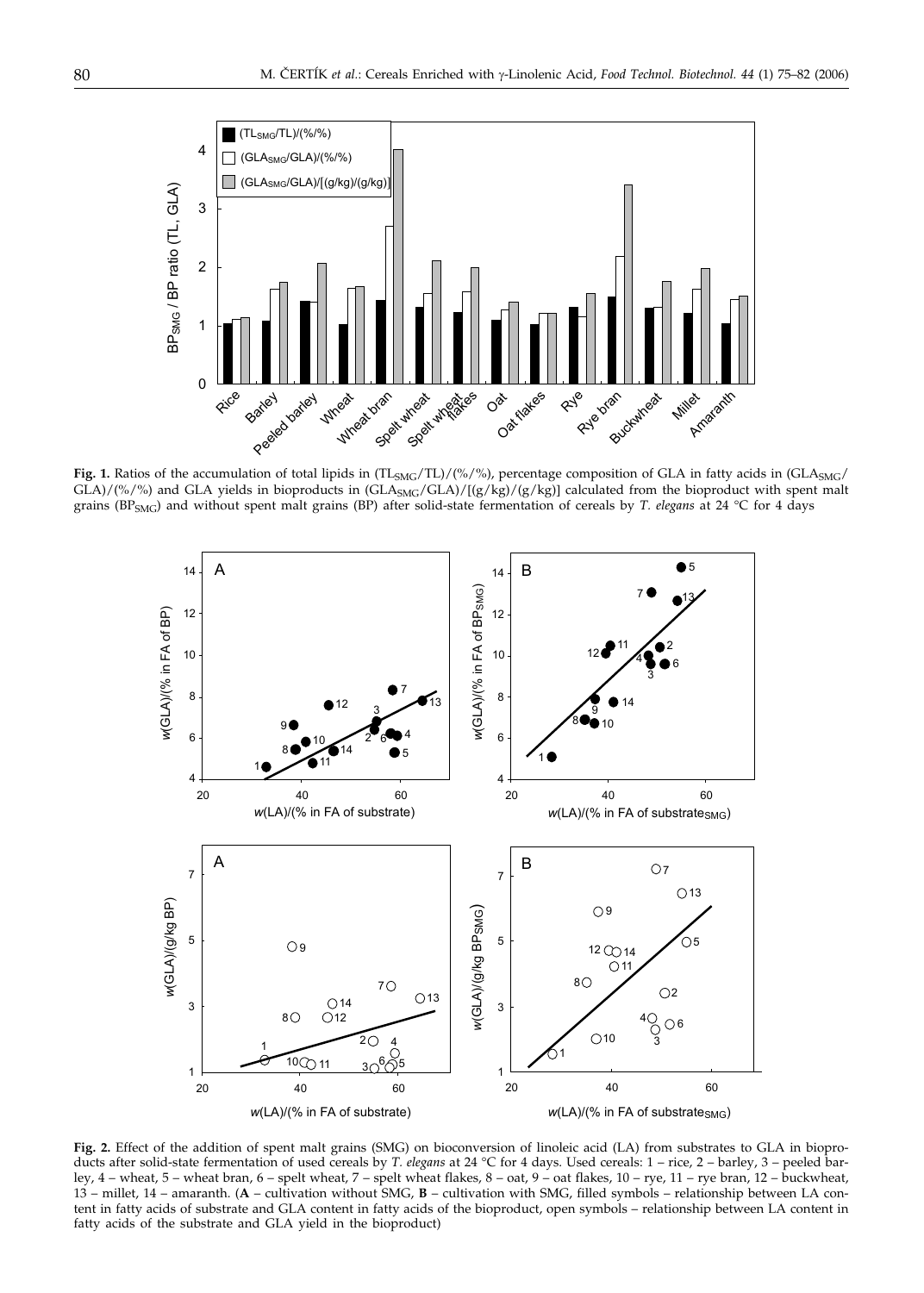

Fig. 1. Ratios of the accumulation of total lipids in (TL<sub>SMG</sub>/TL)/(%/%), percentage composition of GLA in fatty acids in (GLA<sub>SMG</sub>/  $GLA$ )/(%/%) and GLA yields in bioproducts in  $(GLA<sub>SMG</sub>/GLA)/[(g/kg)/(g/kg)]$  calculated from the bioproduct with spent malt grains (BPSMG) and without spent malt grains (BP) after solid-state fermentation of cereals by *T. elegans* at 24 °C for 4 days



**Fig. 2.** Effect of the addition of spent malt grains (SMG) on bioconversion of linoleic acid (LA) from substrates to GLA in bioproducts after solid-state fermentation of used cereals by *T. elegans* at 24 °C for 4 days. Used cereals: 1 – rice, 2 – barley, 3 – peeled barley, 4 – wheat, 5 – wheat bran, 6 – spelt wheat, 7 – spelt wheat flakes, 8 – oat, 9 – oat flakes, 10 – rye, 11 – rye bran, 12 – buckwheat, 13 – millet, 14 – amaranth. (**A** – cultivation without SMG, **B** – cultivation with SMG, filled symbols – relationship between LA content in fatty acids of substrate and GLA content in fatty acids of the bioproduct, open symbols – relationship between LA content in fatty acids of the substrate and GLA yield in the bioproduct)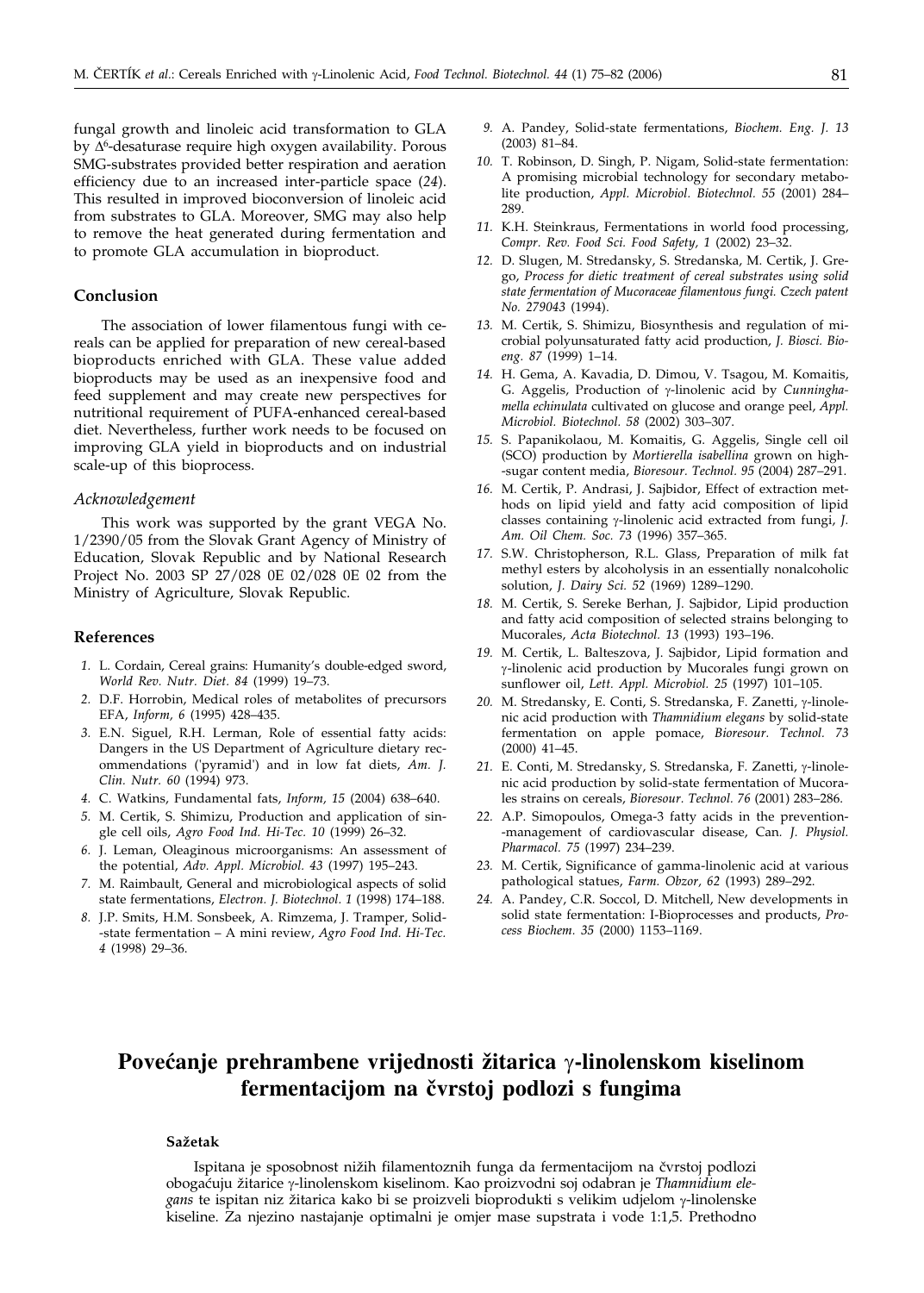fungal growth and linoleic acid transformation to GLA by ∆<sup>6</sup>-desaturase require high oxygen availability. Porous SMG-substrates provided better respiration and aeration efficiency due to an increased inter-particle space (*24*). This resulted in improved bioconversion of linoleic acid from substrates to GLA. Moreover, SMG may also help to remove the heat generated during fermentation and to promote GLA accumulation in bioproduct.

## **Conclusion**

The association of lower filamentous fungi with cereals can be applied for preparation of new cereal-based bioproducts enriched with GLA. These value added bioproducts may be used as an inexpensive food and feed supplement and may create new perspectives for nutritional requirement of PUFA-enhanced cereal-based diet. Nevertheless, further work needs to be focused on improving GLA yield in bioproducts and on industrial scale-up of this bioprocess.

#### *Acknowledgement*

This work was supported by the grant VEGA No. 1/2390/05 from the Slovak Grant Agency of Ministry of Education, Slovak Republic and by National Research Project No. 2003 SP 27/028 0E 02/028 0E 02 from the Ministry of Agriculture, Slovak Republic.

## **References**

- *1.* L. Cordain, Cereal grains: Humanity's double-edged sword, *World Rev. Nutr. Diet. 84* (1999) 19–73.
- *2.* D.F. Horrobin, Medical roles of metabolites of precursors EFA, *Inform, 6* (1995) 428–435.
- *3.* E.N. Siguel, R.H. Lerman, Role of essential fatty acids: Dangers in the US Department of Agriculture dietary recommendations ('pyramid') and in low fat diets, *Am. J. Clin. Nutr. 60* (1994) 973.
- *4.* C. Watkins, Fundamental fats, *Inform, 15* (2004) 638–640.
- *5.* M. Certik, S. Shimizu, Production and application of single cell oils, *Agro Food Ind. Hi-Tec. 10* (1999) 26–32.
- *6.* J. Leman, Oleaginous microorganisms: An assessment of the potential, *Adv. Appl. Microbiol. 43* (1997) 195–243.
- *7.* M. Raimbault, General and microbiological aspects of solid state fermentations, *Electron. J. Biotechnol. 1* (1998) 174–188.
- *8.* J.P. Smits, H.M. Sonsbeek, A. Rimzema, J. Tramper, Solid- -state fermentation – A mini review, *Agro Food Ind. Hi-Tec. 4* (1998) 29–36.
- *9.* A. Pandey, Solid-state fermentations, *Biochem. Eng. J. 13* (2003) 81–84.
- *10.* T. Robinson, D. Singh, P. Nigam, Solid-state fermentation: A promising microbial technology for secondary metabolite production, *Appl. Microbiol. Biotechnol. 55* (2001) 284– 289
- *11.* K.H. Steinkraus, Fermentations in world food processing, *Compr. Rev. Food Sci. Food Safety, 1* (2002) 23–32.
- *12.* D. Slugen, M. Stredansky, S. Stredanska, M. Certik, J. Grego, *Process for dietic treatment of cereal substrates using solid state fermentation of Mucoraceae filamentous fungi. Czech patent No. 279043* (1994).
- *13.* M. Certik, S. Shimizu, Biosynthesis and regulation of microbial polyunsaturated fatty acid production, *J. Biosci. Bioeng. 87* (1999) 1–14.
- *14.* H. Gema, A. Kavadia, D. Dimou, V. Tsagou, M. Komaitis, G. Aggelis, Production of y-linolenic acid by *Cunninghamella echinulata* cultivated on glucose and orange peel, *Appl. Microbiol. Biotechnol. 58* (2002) 303–307.
- *15.* S. Papanikolaou, M. Komaitis, G. Aggelis, Single cell oil (SCO) production by *Mortierella isabellina* grown on high- -sugar content media, *Bioresour. Technol. 95* (2004) 287–291.
- *16.* M. Certik, P. Andrasi, J. Sajbidor, Effect of extraction methods on lipid yield and fatty acid composition of lipid classes containing  $\gamma$ -linolenic acid extracted from fungi, *J. Am. Oil Chem. Soc. 73* (1996) 357–365.
- *17.* S.W. Christopherson, R.L. Glass, Preparation of milk fat methyl esters by alcoholysis in an essentially nonalcoholic solution, *J. Dairy Sci. 52* (1969) 1289–1290.
- *18.* M. Certik, S. Sereke Berhan, J. Sajbidor, Lipid production and fatty acid composition of selected strains belonging to Mucorales, *Acta Biotechnol. 13* (1993) 193–196.
- *19.* M. Certik, L. Balteszova, J. Sajbidor, Lipid formation and -linolenic acid production by Mucorales fungi grown on sunflower oil, *Lett. Appl. Microbiol. 25* (1997) 101–105.
- 20. M. Stredansky, E. Conti, S. Stredanska, F. Zanetti, γ-linolenic acid production with *Thamnidium elegans* by solid-state fermentation on apple pomace, *Bioresour. Technol. 73* (2000) 41–45.
- 21. E. Conti, M. Stredansky, S. Stredanska, F. Zanetti, y-linolenic acid production by solid-state fermentation of Mucorales strains on cereals, *Bioresour. Technol. 76* (2001) 283–286.
- *22.* A.P. Simopoulos, Omega-3 fatty acids in the prevention- -management of cardiovascular disease, Can*. J. Physiol. Pharmacol. 75* (1997) 234–239.
- *23.* M. Certik, Significance of gamma-linolenic acid at various pathological statues, *Farm. Obzor, 62* (1993) 289–292.
- *24.* A. Pandey, C.R. Soccol, D. Mitchell, New developments in solid state fermentation: I-Bioprocesses and products, *Process Biochem. 35* (2000) 1153–1169.

## **Povećanje prehrambene vrijednosti žitarica**  $\gamma$ -linolenskom kiselinom fermentacijom na čvrstoj podlozi s fungima

## **Sa`etak**

Ispitana je sposobnost nižih filamentoznih funga da fermentacijom na čvrstoj podlozi obogaćuju žitarice γ-linolenskom kiselinom. Kao proizvodni soj odabran je *Thamnidium ele*gans te ispitan niz žitarica kako bi se proizveli bioprodukti s velikim udjelom γ-linolenske kiseline. Za njezino nastajanje optimalni je omjer mase supstrata i vode 1:1,5. Prethodno